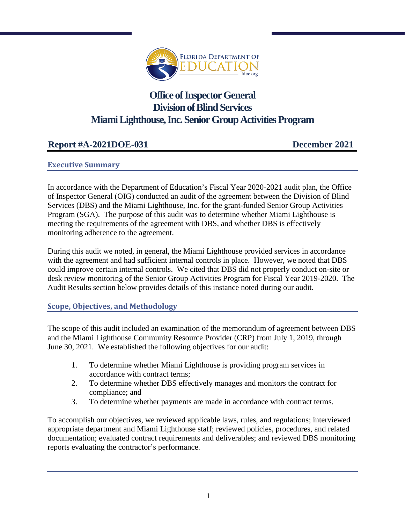

# **Office of Inspector General Division of Blind Services Miami Lighthouse, Inc. Senior Group Activities Program**

# **Report #A-2021DOE-031 December 2021**

#### **Executive Summary**

In accordance with the Department of Education's Fiscal Year 2020-2021 audit plan, the Office of Inspector General (OIG) conducted an audit of the agreement between the Division of Blind Services (DBS) and the Miami Lighthouse, Inc. for the grant-funded Senior Group Activities Program (SGA). The purpose of this audit was to determine whether Miami Lighthouse is meeting the requirements of the agreement with DBS, and whether DBS is effectively monitoring adherence to the agreement.

During this audit we noted, in general, the Miami Lighthouse provided services in accordance with the agreement and had sufficient internal controls in place. However, we noted that DBS could improve certain internal controls. We cited that DBS did not properly conduct on-site or desk review monitoring of the Senior Group Activities Program for Fiscal Year 2019-2020. The Audit Results section below provides details of this instance noted during our audit.

## **Scope, Objectives, and Methodology**

The scope of this audit included an examination of the memorandum of agreement between DBS and the Miami Lighthouse Community Resource Provider (CRP) from July 1, 2019, through June 30, 2021. We established the following objectives for our audit:

- 1. To determine whether Miami Lighthouse is providing program services in accordance with contract terms;
- 2. To determine whether DBS effectively manages and monitors the contract for compliance; and
- 3. To determine whether payments are made in accordance with contract terms.

To accomplish our objectives, we reviewed applicable laws, rules, and regulations; interviewed appropriate department and Miami Lighthouse staff; reviewed policies, procedures, and related documentation; evaluated contract requirements and deliverables; and reviewed DBS monitoring reports evaluating the contractor's performance.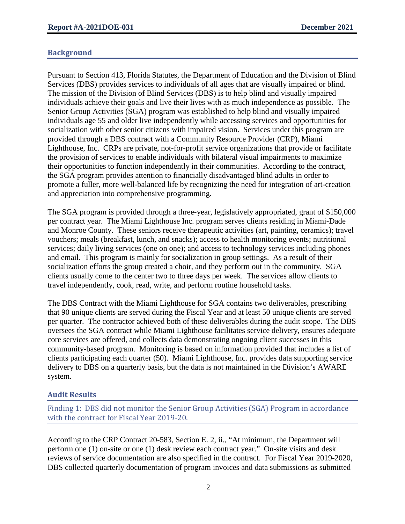#### **Background**

Pursuant to Section 413, Florida Statutes, the Department of Education and the Division of Blind Services (DBS) provides services to individuals of all ages that are visually impaired or blind. The mission of the Division of Blind Services (DBS) is to help blind and visually impaired individuals achieve their goals and live their lives with as much independence as possible. The Senior Group Activities (SGA) program was established to help blind and visually impaired individuals age 55 and older live independently while accessing services and opportunities for socialization with other senior citizens with impaired vision. Services under this program are provided through a DBS contract with a Community Resource Provider (CRP), Miami Lighthouse, Inc. CRPs are private, not-for-profit service organizations that provide or facilitate the provision of services to enable individuals with bilateral visual impairments to maximize their opportunities to function independently in their communities. According to the contract, the SGA program provides attention to financially disadvantaged blind adults in order to promote a fuller, more well-balanced life by recognizing the need for integration of art-creation and appreciation into comprehensive programming.

The SGA program is provided through a three-year, legislatively appropriated, grant of \$150,000 per contract year. The Miami Lighthouse Inc. program serves clients residing in Miami-Dade and Monroe County. These seniors receive therapeutic activities (art, painting, ceramics); travel vouchers; meals (breakfast, lunch, and snacks); access to health monitoring events; nutritional services; daily living services (one on one); and access to technology services including phones and email. This program is mainly for socialization in group settings. As a result of their socialization efforts the group created a choir, and they perform out in the community. SGA clients usually come to the center two to three days per week. The services allow clients to travel independently, cook, read, write, and perform routine household tasks.

The DBS Contract with the Miami Lighthouse for SGA contains two deliverables, prescribing that 90 unique clients are served during the Fiscal Year and at least 50 unique clients are served per quarter. The contractor achieved both of these deliverables during the audit scope. The DBS oversees the SGA contract while Miami Lighthouse facilitates service delivery, ensures adequate core services are offered, and collects data demonstrating ongoing client successes in this community-based program. Monitoring is based on information provided that includes a list of clients participating each quarter (50). Miami Lighthouse, Inc. provides data supporting service delivery to DBS on a quarterly basis, but the data is not maintained in the Division's AWARE system.

## **Audit Results**

Finding 1: DBS did not monitor the Senior Group Activities (SGA) Program in accordance with the contract for Fiscal Year 2019-20.

According to the CRP Contract 20-583, Section E. 2, ii., "At minimum, the Department will perform one (1) on-site or one (1) desk review each contract year." On-site visits and desk reviews of service documentation are also specified in the contract. For Fiscal Year 2019-2020, DBS collected quarterly documentation of program invoices and data submissions as submitted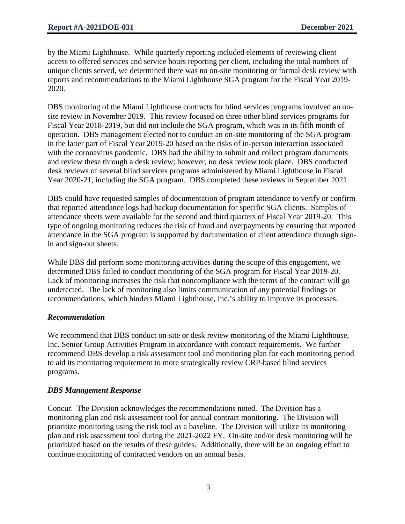by the Miami Lighthouse. While quarterly reporting included elements of reviewing client access to offered services and service hours reporting per client, including the total numbers of unique clients served, we determined there was no on-site monitoring or formal desk review with reports and recommendations to the Miami Lighthouse SGA program for the Fiscal Year 2019- 2020.

DBS monitoring of the Miami Lighthouse contracts for blind services programs involved an onsite review in November 2019. This review focused on three other blind services programs for Fiscal Year 2018-2019, but did not include the SGA program, which was in its fifth month of operation. DBS management elected not to conduct an on-site monitoring of the SGA program in the latter part of Fiscal Year 2019-20 based on the risks of in-person interaction associated with the coronavirus pandemic. DBS had the ability to submit and collect program documents and review these through a desk review; however, no desk review took place. DBS conducted desk reviews of several blind services programs administered by Miami Lighthouse in Fiscal Year 2020-21, including the SGA program. DBS completed these reviews in September 2021.

DBS could have requested samples of documentation of program attendance to verify or confirm that reported attendance logs had backup documentation for specific SGA clients. Samples of attendance sheets were available for the second and third quarters of Fiscal Year 2019-20. This type of ongoing monitoring reduces the risk of fraud and overpayments by ensuring that reported attendance in the SGA program is supported by documentation of client attendance through signin and sign-out sheets.

While DBS did perform some monitoring activities during the scope of this engagement, we determined DBS failed to conduct monitoring of the SGA program for Fiscal Year 2019-20. Lack of monitoring increases the risk that noncompliance with the terms of the contract will go undetected. The lack of monitoring also limits communication of any potential findings or recommendations, which hinders Miami Lighthouse, Inc.'s ability to improve its processes.

#### *Recommendation*

We recommend that DBS conduct on-site or desk review monitoring of the Miami Lighthouse, Inc. Senior Group Activities Program in accordance with contract requirements. We further recommend DBS develop a risk assessment tool and monitoring plan for each monitoring period to aid its monitoring requirement to more strategically review CRP-based blind services programs.

#### *DBS Management Response*

Concur. The Division acknowledges the recommendations noted. The Division has a monitoring plan and risk assessment tool for annual contract monitoring. The Division will prioritize monitoring using the risk tool as a baseline. The Division will utilize its monitoring plan and risk assessment tool during the 2021-2022 FY. On-site and/or desk monitoring will be prioritized based on the results of these guides. Additionally, there will be an ongoing effort to continue monitoring of contracted vendors on an annual basis.